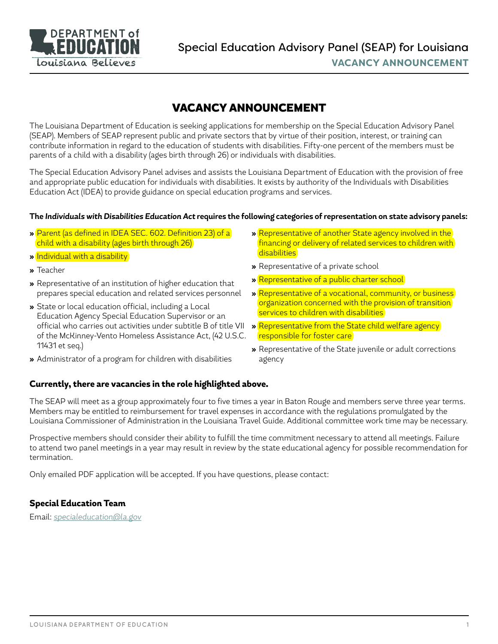

# VACANCY ANNOUNCEMENT

The Louisiana Department of Education is seeking applications for membership on the Special Education Advisory Panel (SEAP). Members of SEAP represent public and private sectors that by virtue of their position, interest, or training can contribute information in regard to the education of students with disabilities. Fifty-one percent of the members must be parents of a child with a disability (ages birth through 26) or individuals with disabilities.

The Special Education Advisory Panel advises and assists the Louisiana Department of Education with the provision of free and appropriate public education for individuals with disabilities. It exists by authority of the Individuals with Disabilities Education Act (IDEA) to provide guidance on special education programs and services.

#### **The** *Individuals with Disabilities Education Act* **requires the following categories of representation on state advisory panels:**

- **»** Parent (as defined in IDEA SEC. 602. Definition 23) of a child with a disability (ages birth through 26)
- **»** Individual with a disability
- **»** Teacher
- **»** Representative of an institution of higher education that prepares special education and related services personnel
- **»** State or local education official, including a Local Education Agency Special Education Supervisor or an official who carries out activities under subtitle B of title VII of the McKinney-Vento Homeless Assistance Act, (42 U.S.C. 11431 et seq.)
- **»** Administrator of a program for children with disabilities
- **»** Representative of another State agency involved in the financing or delivery of related services to children with disabilities
- **»** Representative of a private school
- **»** Representative of a public charter school
- **»** Representative of a vocational, community, or business organization concerned with the provision of transition services to children with disabilities
- **»** Representative from the State child welfare agency responsible for foster care
- **»** Representative of the State juvenile or adult corrections agency

## **Currently, there are vacancies in the role highlighted above.**

The SEAP will meet as a group approximately four to five times a year in Baton Rouge and members serve three year terms. Members may be entitled to reimbursement for travel expenses in accordance with the regulations promulgated by the Louisiana Commissioner of Administration in the Louisiana Travel Guide. Additional committee work time may be necessary.

Prospective members should consider their ability to fulfill the time commitment necessary to attend all meetings. Failure to attend two panel meetings in a year may result in review by the state educational agency for possible recommendation for termination.

Only emailed PDF application will be accepted. If you have questions, please contact:

## **Special Education Team**

Email: *specialeducation@la.gov*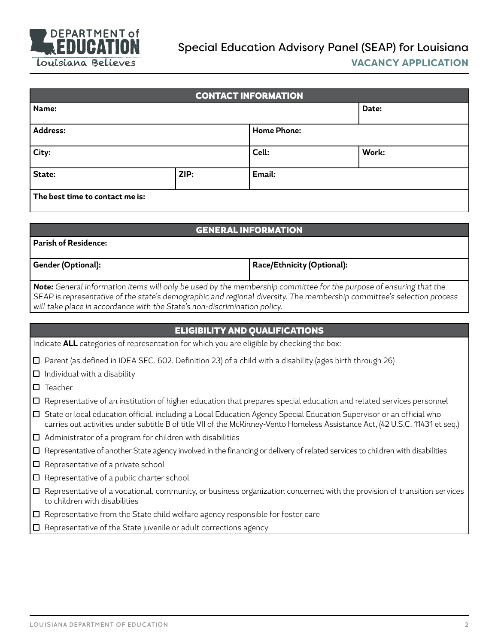

| <b>CONTACT INFORMATION</b>      |      |                    |       |  |  |
|---------------------------------|------|--------------------|-------|--|--|
| Name:                           |      |                    | Date: |  |  |
| <b>Address:</b>                 |      | <b>Home Phone:</b> |       |  |  |
| City:                           |      | Cell:              | Work: |  |  |
| State:                          | ZIP: | Email:             |       |  |  |
| The best time to contact me is: |      |                    |       |  |  |

| <b>GENERAL INFORMATION</b>                                                                                         |                            |  |  |  |
|--------------------------------------------------------------------------------------------------------------------|----------------------------|--|--|--|
| <b>Parish of Residence:</b>                                                                                        |                            |  |  |  |
|                                                                                                                    |                            |  |  |  |
| <b>Gender (Optional):</b>                                                                                          | Race/Ethnicity (Optional): |  |  |  |
|                                                                                                                    |                            |  |  |  |
| Note: General information items will only be used by the membership committee for the purpose of ensuring that the |                            |  |  |  |

*SEAP is representative of the state's demographic and regional diversity. The membership committee's selection process will take place in accordance with the State's non-discrimination policy.*

| <b>ELIGIBILITY AND QUALIFICATIONS</b>                                                                                                                                                                                                                            |  |  |  |  |
|------------------------------------------------------------------------------------------------------------------------------------------------------------------------------------------------------------------------------------------------------------------|--|--|--|--|
| Indicate ALL categories of representation for which you are eligible by checking the box:                                                                                                                                                                        |  |  |  |  |
| $\Box$ Parent (as defined in IDEA SEC. 602. Definition 23) of a child with a disability (ages birth through 26)                                                                                                                                                  |  |  |  |  |
| $\Box$ Individual with a disability                                                                                                                                                                                                                              |  |  |  |  |
| $\Box$ Teacher                                                                                                                                                                                                                                                   |  |  |  |  |
| $\Box$ Representative of an institution of higher education that prepares special education and related services personnel                                                                                                                                       |  |  |  |  |
| State or local education official, including a Local Education Agency Special Education Supervisor or an official who<br>$\Box$<br>carries out activities under subtitle B of title VII of the McKinney-Vento Homeless Assistance Act, (42 U.S.C. 11431 et seq.) |  |  |  |  |
| $\Box$ Administrator of a program for children with disabilities                                                                                                                                                                                                 |  |  |  |  |
| $\Box$ Representative of another State agency involved in the financing or delivery of related services to children with disabilities                                                                                                                            |  |  |  |  |
| $\Box$ Representative of a private school                                                                                                                                                                                                                        |  |  |  |  |
| $\Box$ Representative of a public charter school                                                                                                                                                                                                                 |  |  |  |  |
| $\Box$ Representative of a vocational, community, or business organization concerned with the provision of transition services<br>to children with disabilities                                                                                                  |  |  |  |  |

- $\square$  Representative from the State child welfare agency responsible for foster care
- $\square$  Representative of the State juvenile or adult corrections agency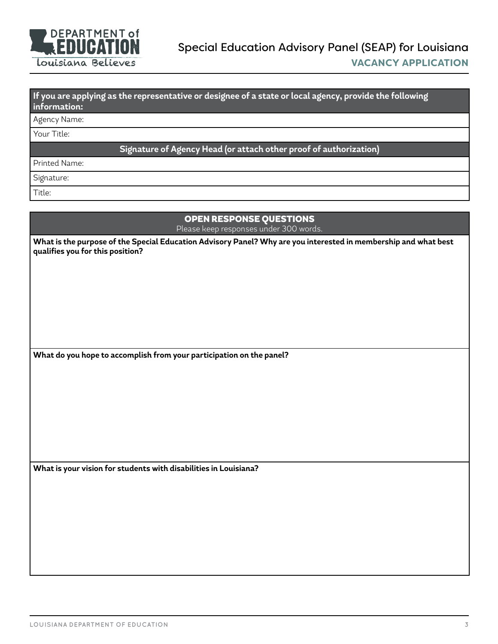

## **If you are applying as the representative or designee of a state or local agency, provide the following information:**

## Agency Name:

Your Title:

#### **Signature of Agency Head (or attach other proof of authorization)**

Printed Name:

Signature:

Title:

## OPEN RESPONSE QUESTIONS

Please keep responses under 300 words.

**What is the purpose of the Special Education Advisory Panel? Why are you interested in membership and what best qualifies you for this position?**

**What do you hope to accomplish from your participation on the panel?**

**What is your vision for students with disabilities in Louisiana?**